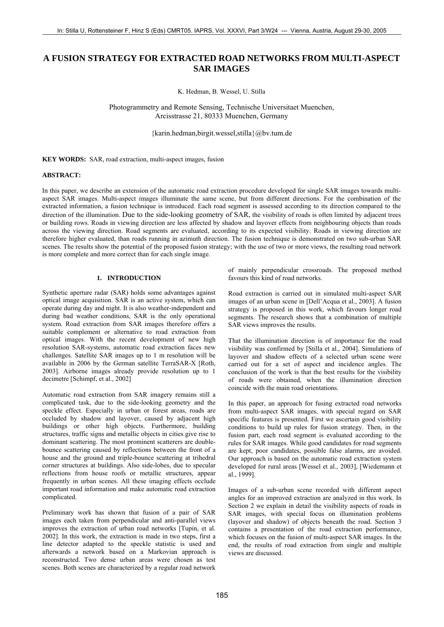# **A FUSION STRATEGY FOR EXTRACTED ROAD NETWORKS FROM MULTI-ASPECT SAR IMAGES**

K. Hedman, B. Wessel, U. Stilla

Photogrammetry and Remote Sensing, Technische Universitaet Muenchen, Arcisstrasse 21, 80333 Muenchen, Germany

{karin.hedman,birgit.wessel,stilla}@bv.tum.de

**KEY WORDS:** SAR, road extraction, multi-aspect images, fusion

# **ABSTRACT:**

In this paper, we describe an extension of the automatic road extraction procedure developed for single SAR images towards multiaspect SAR images. Multi-aspect images illuminate the same scene, but from different directions. For the combination of the extracted information, a fusion technique is introduced. Each road segment is assessed according to its direction compared to the direction of the illumination. Due to the side-looking geometry of SAR, the visibility of roads is often limited by adjacent trees or building rows. Roads in viewing direction are less affected by shadow and layover effects from neighbouring objects than roads across the viewing direction. Road segments are evaluated, according to its expected visibility. Roads in viewing direction are therefore higher evaluated, than roads running in azimuth direction. The fusion technique is demonstrated on two sub-urban SAR scenes. The results show the potential of the proposed fusion strategy; with the use of two or more views, the resulting road network is more complete and more correct than for each single image.

#### **1. INTRODUCTION**

Synthetic aperture radar (SAR) holds some advantages against optical image acquisition. SAR is an active system, which can operate during day and night. It is also weather-independent and during bad weather conditions, SAR is the only operational system. Road extraction from SAR images therefore offers a suitable complement or alternative to road extraction from optical images. With the recent development of new high resolution SAR-systems, automatic road extraction faces new challenges. Satellite SAR images up to 1 m resolution will be available in 2006 by the German satellite TerraSAR-X [Roth, 2003]. Airborne images already provide resolution up to 1 decimetre [Schimpf, et al., 2002]

Automatic road extraction from SAR imagery remains still a complicated task, due to the side-looking geometry and the speckle effect. Especially in urban or forest areas, roads are occluded by shadow and layover, caused by adjacent high buildings or other high objects. Furthermore, building structures, traffic signs and metallic objects in cities give rise to dominant scattering. The most prominent scatterers are doublebounce scattering caused by reflections between the front of a house and the ground and triple-bounce scattering at trihedral corner structures at buildings. Also side-lobes, due to specular reflections from house roofs or metallic structures, appear frequently in urban scenes. All these imaging effects occlude important road information and make automatic road extraction complicated.

Preliminary work has shown that fusion of a pair of SAR images each taken from perpendicular and anti-parallel views improves the extraction of urban road networks [Tupin, et al. 2002]. In this work, the extraction is made in two steps, first a line detector adapted to the speckle statistic is used and afterwards a network based on a Markovian approach is reconstructed. Two dense urban areas were chosen as test scenes. Both scenes are characterized by a regular road network

of mainly perpendicular crossroads. The proposed method favours this kind of road networks.

Road extraction is carried out in simulated multi-aspect SAR images of an urban scene in [Dell'Acqua et al., 2003]. A fusion strategy is proposed in this work, which favours longer road segments. The research shows that a combination of multiple SAR views improves the results.

That the illumination direction is of importance for the road visibility was confirmed by [Stilla et al., 2004]. Simulations of layover and shadow effects of a selected urban scene were carried out for a set of aspect and incidence angles. The conclusion of the work is that the best results for the visibility of roads were obtained, when the illumination direction coincide with the main road orientations.

In this paper, an approach for fusing extracted road networks from multi-aspect SAR images, with special regard on SAR specific features is presented. First we ascertain good visibility conditions to build up rules for fusion strategy. Then, in the fusion part, each road segment is evaluated according to the rules for SAR images. While good candidates for road segments are kept, poor candidates, possible false alarms, are avoided. Our approach is based on the automatic road extraction system developed for rural areas [Wessel et al., 2003], [Wiedemann et al., 1999].

Images of a sub-urban scene recorded with different aspect angles for an improved extraction are analyzed in this work. In Section 2 we explain in detail the visibility aspects of roads in SAR images, with special focus on illumination problems (layover and shadow) of objects beneath the road. Section 3 contains a presentation of the road extraction performance, which focuses on the fusion of multi-aspect SAR images. In the end, the results of road extraction from single and multiple views are discussed.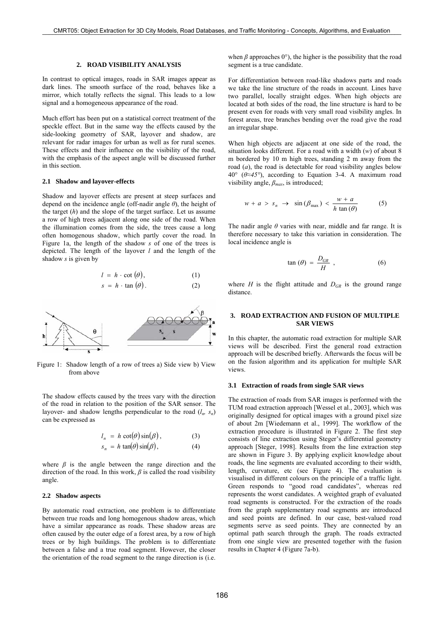#### **2. ROAD VISIBILITY ANALYSIS**

In contrast to optical images, roads in SAR images appear as dark lines. The smooth surface of the road, behaves like a mirror, which totally reflects the signal. This leads to a low signal and a homogeneous appearance of the road.

Much effort has been put on a statistical correct treatment of the speckle effect. But in the same way the effects caused by the side-looking geometry of SAR, layover and shadow, are relevant for radar images for urban as well as for rural scenes. These effects and their influence on the visibility of the road, with the emphasis of the aspect angle will be discussed further in this section.

#### **2.1 Shadow and layover-effects**

Shadow and layover effects are present at steep surfaces and depend on the incidence angle (off-nadir angle *θ*), the height of the target (*h*) and the slope of the target surface. Let us assume a row of high trees adjacent along one side of the road. When the illumination comes from the side, the trees cause a long often homogenous shadow, which partly cover the road. In Figure 1a, the length of the shadow *s* of one of the trees is depicted. The length of the layover *l* and the length of the shadow *s* is given by

$$
l = h \cdot \cot(\theta), \tag{1}
$$

$$
s = h \cdot \tan(\theta). \tag{2}
$$



Figure 1: Shadow length of a row of trees a) Side view b) View from above

The shadow effects caused by the trees vary with the direction of the road in relation to the position of the SAR sensor. The layover- and shadow lengths perpendicular to the road  $(l_n, s_n)$ can be expressed as

$$
l_n = h \cot(\theta) \sin(\beta), \qquad (3)
$$

$$
s_n = h \tan(\theta) \sin(\beta), \tag{4}
$$

where  $\beta$  is the angle between the range direction and the direction of the road. In this work,  $\beta$  is called the road visibility angle.

## **2.2 Shadow aspects**

By automatic road extraction, one problem is to differentiate between true roads and long homogenous shadow areas, which have a similar appearance as roads. These shadow areas are often caused by the outer edge of a forest area, by a row of high trees or by high buildings. The problem is to differentiate between a false and a true road segment. However, the closer the orientation of the road segment to the range direction is (i.e.

when  $\beta$  approaches 0°), the higher is the possibility that the road segment is a true candidate.

For differentiation between road-like shadows parts and roads we take the line structure of the roads in account. Lines have two parallel, locally straight edges. When high objects are located at both sides of the road, the line structure is hard to be present even for roads with very small road visibility angles. In forest areas, tree branches bending over the road give the road an irregular shape.

When high objects are adjacent at one side of the road, the situation looks different. For a road with a width (*w*) of about 8 m bordered by 10 m high trees, standing 2 m away from the road (*a*), the road is detectable for road visibility angles below 40° (*θ≈45°*), according to Equation 3-4. A maximum road visibility angle, *βmax*, is introduced;

$$
w + a > s_n \to \sin(\beta_{\max}) < \frac{w + a}{h \tan(\theta)}
$$
 (5)

The nadir angle  $\theta$  varies with near, middle and far range. It is therefore necessary to take this variation in consideration. The local incidence angle is

$$
\tan (\theta) = \frac{D_{GR}}{H} \tag{6}
$$

where *H* is the flight attitude and  $D_{GR}$  is the ground range distance.

#### **3. ROAD EXTRACTION AND FUSION OF MULTIPLE SAR VIEWS**

In this chapter, the automatic road extraction for multiple SAR views will be described. First the general road extraction approach will be described briefly. Afterwards the focus will be on the fusion algorithm and its application for multiple SAR views.

#### **3.1 Extraction of roads from single SAR views**

The extraction of roads from SAR images is performed with the TUM road extraction approach [Wessel et al., 2003], which was originally designed for optical images with a ground pixel size of about 2m [Wiedemann et al., 1999]. The workflow of the extraction procedure is illustrated in Figure 2. The first step consists of line extraction using Steger's differential geometry approach [Steger, 1998]. Results from the line extraction step are shown in Figure 3. By applying explicit knowledge about roads, the line segments are evaluated according to their width, length, curvature, etc (see Figure 4). The evaluation is visualised in different colours on the principle of a traffic light. Green responds to "good road candidates", whereas red represents the worst candidates. A weighted graph of evaluated road segments is constructed. For the extraction of the roads from the graph supplementary road segments are introduced and seed points are defined. In our case, best-valued road segments serve as seed points. They are connected by an optimal path search through the graph. The roads extracted from one single view are presented together with the fusion results in Chapter 4 (Figure 7a-b).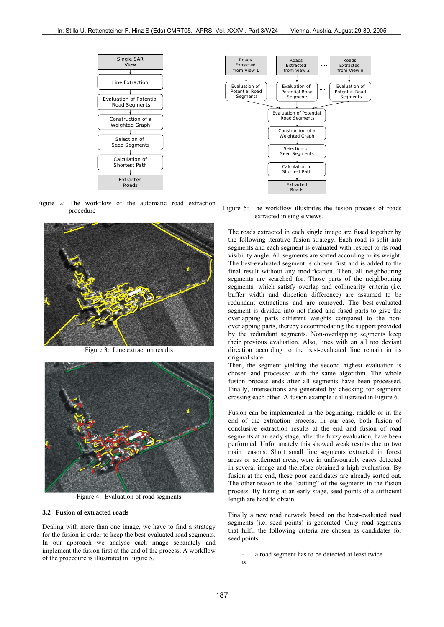

Figure 2: The workflow of the automatic road extraction procedure



Figure 3: Line extraction results



Figure 4: Evaluation of road segments

#### **3.2 Fusion of extracted roads**

Dealing with more than one image, we have to find a strategy for the fusion in order to keep the best-evaluated road segments. In our approach we analyse each image separately and implement the fusion first at the end of the process. A workflow of the procedure is illustrated in Figure 5.



Figure 5: The workflow illustrates the fusion process of roads extracted in single views.

The roads extracted in each single image are fused together by the following iterative fusion strategy. Each road is split into segments and each segment is evaluated with respect to its road visibility angle. All segments are sorted according to its weight. The best-evaluated segment is chosen first and is added to the final result without any modification. Then, all neighbouring segments are searched for. Those parts of the neighbouring segments, which satisfy overlap and collinearity criteria (i.e. buffer width and direction difference) are assumed to be redundant extractions and are removed. The best-evaluated segment is divided into not-fused and fused parts to give the overlapping parts different weights compared to the nonoverlapping parts, thereby accommodating the support provided by the redundant segments. Non-overlapping segments keep their previous evaluation. Also, lines with an all too deviant direction according to the best-evaluated line remain in its original state.

Then, the segment yielding the second highest evaluation is chosen and processed with the same algorithm. The whole fusion process ends after all segments have been processed. Finally, intersections are generated by checking for segments crossing each other. A fusion example is illustrated in Figure 6.

Fusion can be implemented in the beginning, middle or in the end of the extraction process. In our case, both fusion of conclusive extraction results at the end and fusion of road segments at an early stage, after the fuzzy evaluation, have been performed. Unfortunately this showed weak results due to two main reasons. Short small line segments extracted in forest areas or settlement areas, were in unfavourably cases detected in several image and therefore obtained a high evaluation. By fusion at the end, these poor candidates are already sorted out. The other reason is the "cutting" of the segments in the fusion process. By fusing at an early stage, seed points of a sufficient length are hard to obtain.

Finally a new road network based on the best-evaluated road segments (i.e. seed points) is generated. Only road segments that fulfil the following criteria are chosen as candidates for seed points:

- a road segment has to be detected at least twice
- or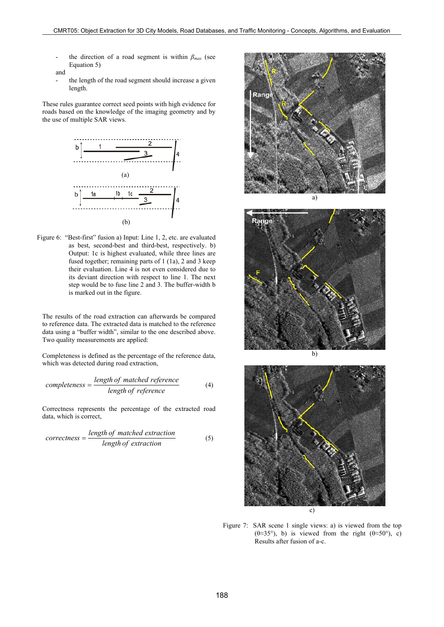- the direction of a road segment is within *βmax* (see Equation 5)
- and
	- the length of the road segment should increase a given length.

These rules guarantee correct seed points with high evidence for roads based on the knowledge of the imaging geometry and by the use of multiple SAR views.



Figure 6: "Best-first" fusion a) Input: Line 1, 2, etc. are evaluated as best, second-best and third-best, respectively. b) Output: 1c is highest evaluated, while three lines are fused together; remaining parts of 1 (1a), 2 and 3 keep their evaluation. Line 4 is not even considered due to its deviant direction with respect to line 1. The next step would be to fuse line 2 and 3. The buffer-width b is marked out in the figure.

The results of the road extraction can afterwards be compared to reference data. The extracted data is matched to the reference data using a "buffer width", similar to the one described above. Two quality measurements are applied:

Completeness is defined as the percentage of the reference data, which was detected during road extraction,

completeness = 
$$
\frac{length\ of\ matched\ reference}{length\ of\ reference}
$$
 (4)

Correctness represents the percentage of the extracted road data, which is correct,

$$
correctness = \frac{length\ of\ matched\ extraction}{length\ of\ extraction}
$$
 (5)







Figure 7: SAR scene 1 single views: a) is viewed from the top ( $\theta \approx 35^\circ$ ), b) is viewed from the right ( $\theta \approx 50^\circ$ ), c) Results after fusion of a-c.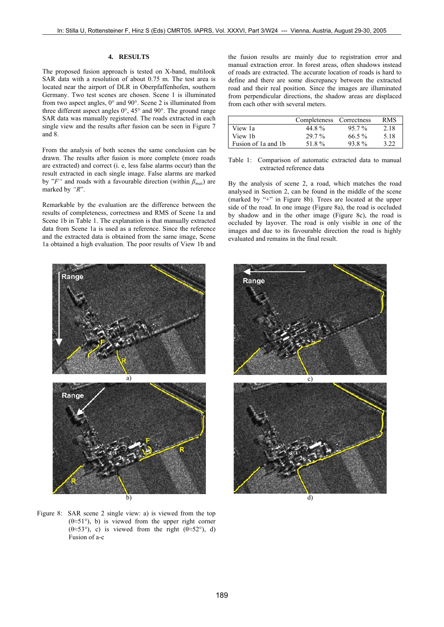# **4. RESULTS**

The proposed fusion approach is tested on X-band, multilook SAR data with a resolution of about 0.75 m. The test area is located near the airport of DLR in Oberpfaffenhofen, southern Germany. Two test scenes are chosen. Scene 1 is illuminated from two aspect angles, 0° and 90°. Scene 2 is illuminated from three different aspect angles 0°, 45° and 90°. The ground range SAR data was manually registered. The roads extracted in each single view and the results after fusion can be seen in Figure 7 and 8.

From the analysis of both scenes the same conclusion can be drawn. The results after fusion is more complete (more roads are extracted) and correct (i. e, less false alarms occur) than the result extracted in each single image. False alarms are marked by " $F''$  and roads with a favourable direction (within  $\beta_{max}$ ) are marked by *"R*".

Remarkable by the evaluation are the difference between the results of completeness, correctness and RMS of Scene 1a and Scene 1b in Table 1. The explanation is that manually extracted data from Scene 1a is used as a reference. Since the reference and the extracted data is obtained from the same image, Scene 1a obtained a high evaluation. The poor results of View 1b and the fusion results are mainly due to registration error and manual extraction error. In forest areas, often shadows instead of roads are extracted. The accurate location of roads is hard to define and there are some discrepancy between the extracted road and their real position. Since the images are illuminated from perpendicular directions, the shadow areas are displaced from each other with several meters.

|                     | Completeness Correctness |          | R M.S |
|---------------------|--------------------------|----------|-------|
| View 1a             | 44.8%                    | $95.7\%$ | 2.18  |
| View 1b             | $29.7\%$                 | $66.5\%$ | 5.18  |
| Fusion of 1a and 1b | 51.8%                    | 93.8%    | 3.22  |

Table 1: Comparison of automatic extracted data to manual extracted reference data

By the analysis of scene 2, a road, which matches the road analysed in Section 2, can be found in the middle of the scene (marked by "+" in Figure 8b). Trees are located at the upper side of the road. In one image (Figure 8a), the road is occluded by shadow and in the other image (Figure 8c), the road is occluded by layover. The road is only visible in one of the images and due to its favourable direction the road is highly evaluated and remains in the final result.



Figure 8: SAR scene 2 single view: a) is viewed from the top (θ≈51°), b) is viewed from the upper right corner ( $\theta \approx 53^{\circ}$ ), c) is viewed from the right ( $\theta \approx 52^{\circ}$ ), d) Fusion of a-c